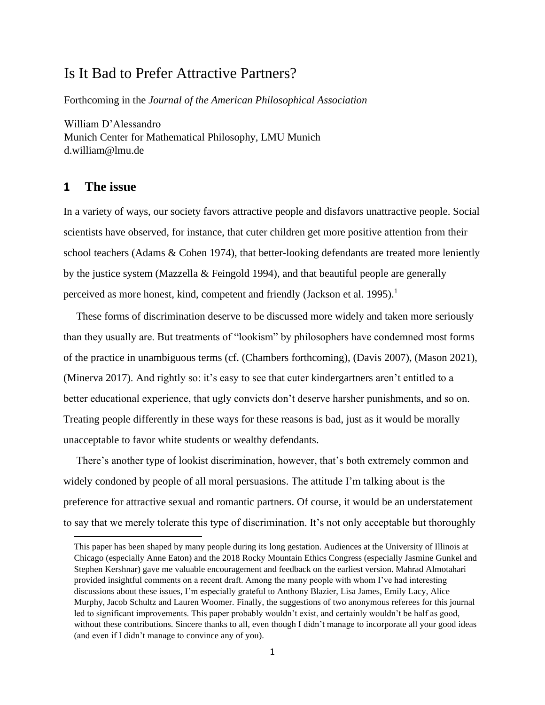# Is It Bad to Prefer Attractive Partners?

Forthcoming in the *Journal of the American Philosophical Association*

William D'Alessandro Munich Center for Mathematical Philosophy, LMU Munich d.william@lmu.de

## **1 The issue**

In a variety of ways, our society favors attractive people and disfavors unattractive people. Social scientists have observed, for instance, that cuter children get more positive attention from their school teachers (Adams & Cohen 1974), that better-looking defendants are treated more leniently by the justice system (Mazzella & Feingold 1994), and that beautiful people are generally perceived as more honest, kind, competent and friendly (Jackson et al. 1995).<sup>1</sup>

These forms of discrimination deserve to be discussed more widely and taken more seriously than they usually are. But treatments of "lookism" by philosophers have condemned most forms of the practice in unambiguous terms (cf. (Chambers forthcoming), (Davis 2007), (Mason 2021), (Minerva 2017). And rightly so: it's easy to see that cuter kindergartners aren't entitled to a better educational experience, that ugly convicts don't deserve harsher punishments, and so on. Treating people differently in these ways for these reasons is bad, just as it would be morally unacceptable to favor white students or wealthy defendants.

There's another type of lookist discrimination, however, that's both extremely common and widely condoned by people of all moral persuasions. The attitude I'm talking about is the preference for attractive sexual and romantic partners. Of course, it would be an understatement to say that we merely tolerate this type of discrimination. It's not only acceptable but thoroughly

This paper has been shaped by many people during its long gestation. Audiences at the University of Illinois at Chicago (especially Anne Eaton) and the 2018 Rocky Mountain Ethics Congress (especially Jasmine Gunkel and Stephen Kershnar) gave me valuable encouragement and feedback on the earliest version. Mahrad Almotahari provided insightful comments on a recent draft. Among the many people with whom I've had interesting discussions about these issues, I'm especially grateful to Anthony Blazier, Lisa James, Emily Lacy, Alice Murphy, Jacob Schultz and Lauren Woomer. Finally, the suggestions of two anonymous referees for this journal led to significant improvements. This paper probably wouldn't exist, and certainly wouldn't be half as good, without these contributions. Sincere thanks to all, even though I didn't manage to incorporate all your good ideas (and even if I didn't manage to convince any of you).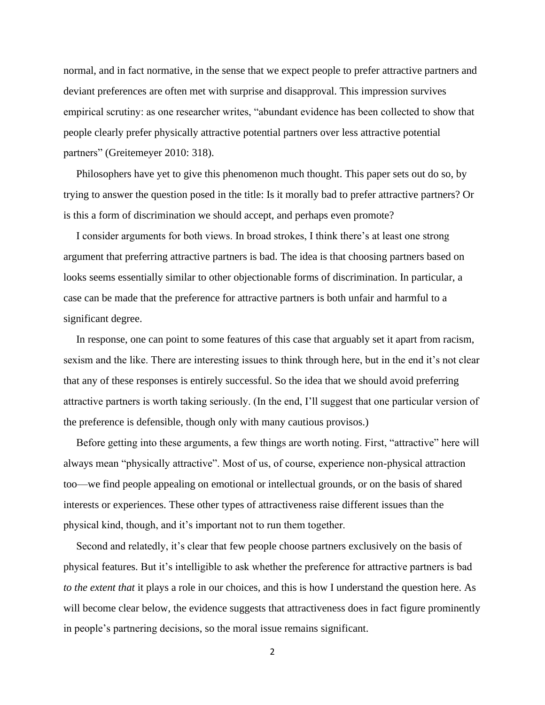normal, and in fact normative, in the sense that we expect people to prefer attractive partners and deviant preferences are often met with surprise and disapproval. This impression survives empirical scrutiny: as one researcher writes, "abundant evidence has been collected to show that people clearly prefer physically attractive potential partners over less attractive potential partners" (Greitemeyer 2010: 318).

Philosophers have yet to give this phenomenon much thought. This paper sets out do so, by trying to answer the question posed in the title: Is it morally bad to prefer attractive partners? Or is this a form of discrimination we should accept, and perhaps even promote?

I consider arguments for both views. In broad strokes, I think there's at least one strong argument that preferring attractive partners is bad. The idea is that choosing partners based on looks seems essentially similar to other objectionable forms of discrimination. In particular, a case can be made that the preference for attractive partners is both unfair and harmful to a significant degree.

In response, one can point to some features of this case that arguably set it apart from racism, sexism and the like. There are interesting issues to think through here, but in the end it's not clear that any of these responses is entirely successful. So the idea that we should avoid preferring attractive partners is worth taking seriously. (In the end, I'll suggest that one particular version of the preference is defensible, though only with many cautious provisos.)

Before getting into these arguments, a few things are worth noting. First, "attractive" here will always mean "physically attractive". Most of us, of course, experience non-physical attraction too—we find people appealing on emotional or intellectual grounds, or on the basis of shared interests or experiences. These other types of attractiveness raise different issues than the physical kind, though, and it's important not to run them together.

Second and relatedly, it's clear that few people choose partners exclusively on the basis of physical features. But it's intelligible to ask whether the preference for attractive partners is bad *to the extent that* it plays a role in our choices, and this is how I understand the question here. As will become clear below, the evidence suggests that attractiveness does in fact figure prominently in people's partnering decisions, so the moral issue remains significant.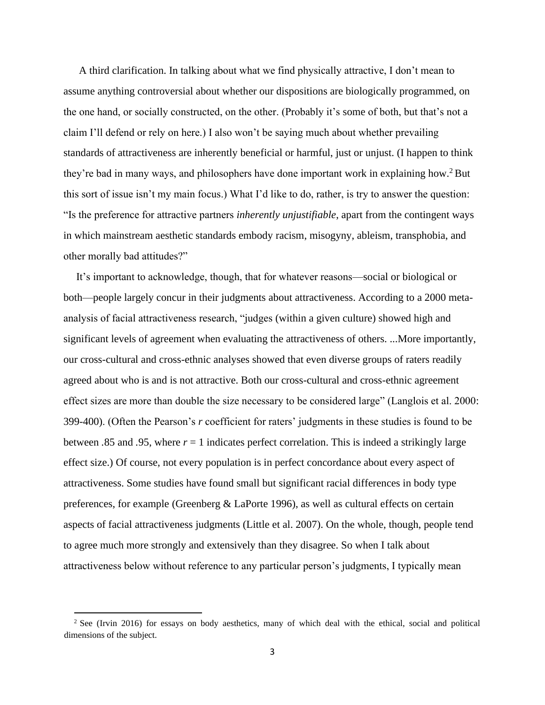A third clarification. In talking about what we find physically attractive, I don't mean to assume anything controversial about whether our dispositions are biologically programmed, on the one hand, or socially constructed, on the other. (Probably it's some of both, but that's not a claim I'll defend or rely on here.) I also won't be saying much about whether prevailing standards of attractiveness are inherently beneficial or harmful, just or unjust. (I happen to think they're bad in many ways, and philosophers have done important work in explaining how.<sup>2</sup> But this sort of issue isn't my main focus.) What I'd like to do, rather, is try to answer the question: "Is the preference for attractive partners *inherently unjustifiable*, apart from the contingent ways in which mainstream aesthetic standards embody racism, misogyny, ableism, transphobia, and other morally bad attitudes?"

It's important to acknowledge, though, that for whatever reasons—social or biological or both—people largely concur in their judgments about attractiveness. According to a 2000 metaanalysis of facial attractiveness research, "judges (within a given culture) showed high and significant levels of agreement when evaluating the attractiveness of others. ...More importantly, our cross-cultural and cross-ethnic analyses showed that even diverse groups of raters readily agreed about who is and is not attractive. Both our cross-cultural and cross-ethnic agreement effect sizes are more than double the size necessary to be considered large" (Langlois et al. 2000: 399-400). (Often the Pearson's *r* coefficient for raters' judgments in these studies is found to be between .85 and .95, where  $r = 1$  indicates perfect correlation. This is indeed a strikingly large effect size.) Of course, not every population is in perfect concordance about every aspect of attractiveness. Some studies have found small but significant racial differences in body type preferences, for example (Greenberg & LaPorte 1996), as well as cultural effects on certain aspects of facial attractiveness judgments (Little et al. 2007). On the whole, though, people tend to agree much more strongly and extensively than they disagree. So when I talk about attractiveness below without reference to any particular person's judgments, I typically mean

<sup>&</sup>lt;sup>2</sup> See (Irvin 2016) for essays on body aesthetics, many of which deal with the ethical, social and political dimensions of the subject.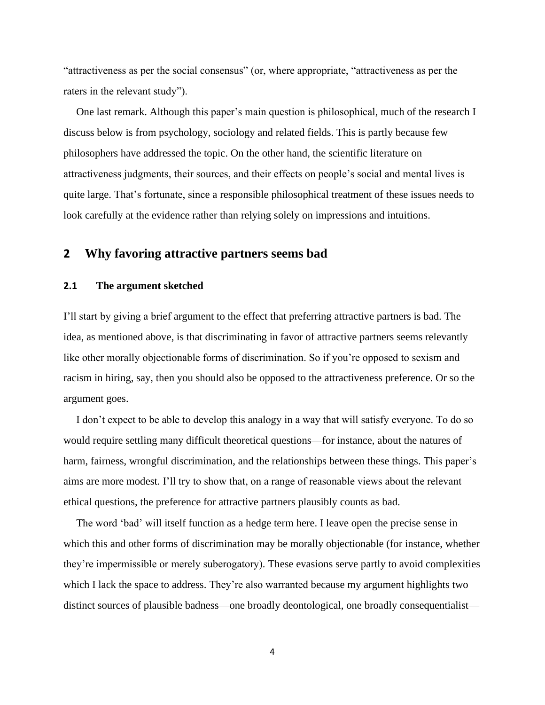"attractiveness as per the social consensus" (or, where appropriate, "attractiveness as per the raters in the relevant study").

One last remark. Although this paper's main question is philosophical, much of the research I discuss below is from psychology, sociology and related fields. This is partly because few philosophers have addressed the topic. On the other hand, the scientific literature on attractiveness judgments, their sources, and their effects on people's social and mental lives is quite large. That's fortunate, since a responsible philosophical treatment of these issues needs to look carefully at the evidence rather than relying solely on impressions and intuitions.

# **2 Why favoring attractive partners seems bad**

#### **2.1 The argument sketched**

I'll start by giving a brief argument to the effect that preferring attractive partners is bad. The idea, as mentioned above, is that discriminating in favor of attractive partners seems relevantly like other morally objectionable forms of discrimination. So if you're opposed to sexism and racism in hiring, say, then you should also be opposed to the attractiveness preference. Or so the argument goes.

I don't expect to be able to develop this analogy in a way that will satisfy everyone. To do so would require settling many difficult theoretical questions—for instance, about the natures of harm, fairness, wrongful discrimination, and the relationships between these things. This paper's aims are more modest. I'll try to show that, on a range of reasonable views about the relevant ethical questions, the preference for attractive partners plausibly counts as bad.

The word 'bad' will itself function as a hedge term here. I leave open the precise sense in which this and other forms of discrimination may be morally objectionable (for instance, whether they're impermissible or merely suberogatory). These evasions serve partly to avoid complexities which I lack the space to address. They're also warranted because my argument highlights two distinct sources of plausible badness—one broadly deontological, one broadly consequentialist—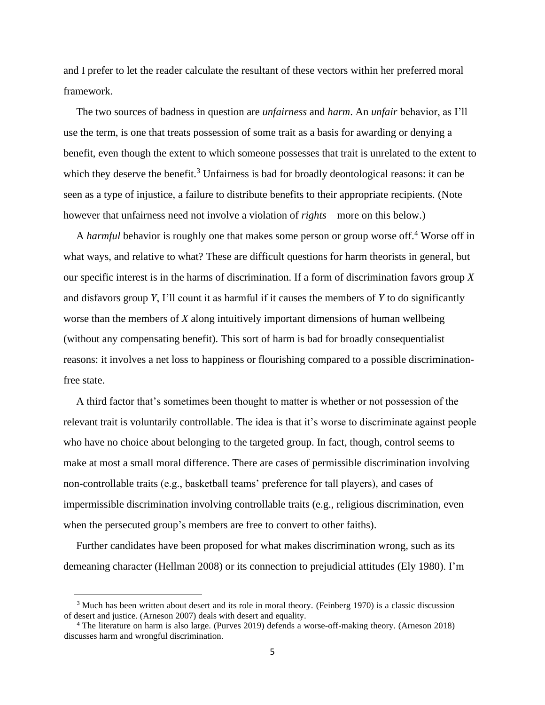and I prefer to let the reader calculate the resultant of these vectors within her preferred moral framework.

The two sources of badness in question are *unfairness* and *harm*. An *unfair* behavior, as I'll use the term, is one that treats possession of some trait as a basis for awarding or denying a benefit, even though the extent to which someone possesses that trait is unrelated to the extent to which they deserve the benefit.<sup>3</sup> Unfairness is bad for broadly deontological reasons: it can be seen as a type of injustice, a failure to distribute benefits to their appropriate recipients. (Note however that unfairness need not involve a violation of *rights*—more on this below.)

A *harmful* behavior is roughly one that makes some person or group worse off.<sup>4</sup> Worse off in what ways, and relative to what? These are difficult questions for harm theorists in general, but our specific interest is in the harms of discrimination. If a form of discrimination favors group *X* and disfavors group *Y*, I'll count it as harmful if it causes the members of *Y* to do significantly worse than the members of *X* along intuitively important dimensions of human wellbeing (without any compensating benefit). This sort of harm is bad for broadly consequentialist reasons: it involves a net loss to happiness or flourishing compared to a possible discriminationfree state.

A third factor that's sometimes been thought to matter is whether or not possession of the relevant trait is voluntarily controllable. The idea is that it's worse to discriminate against people who have no choice about belonging to the targeted group. In fact, though, control seems to make at most a small moral difference. There are cases of permissible discrimination involving non-controllable traits (e.g., basketball teams' preference for tall players), and cases of impermissible discrimination involving controllable traits (e.g., religious discrimination, even when the persecuted group's members are free to convert to other faiths).

Further candidates have been proposed for what makes discrimination wrong, such as its demeaning character (Hellman 2008) or its connection to prejudicial attitudes (Ely 1980). I'm

<sup>&</sup>lt;sup>3</sup> Much has been written about desert and its role in moral theory. (Feinberg 1970) is a classic discussion of desert and justice. (Arneson 2007) deals with desert and equality.

<sup>4</sup> The literature on harm is also large. (Purves 2019) defends a worse-off-making theory. (Arneson 2018) discusses harm and wrongful discrimination.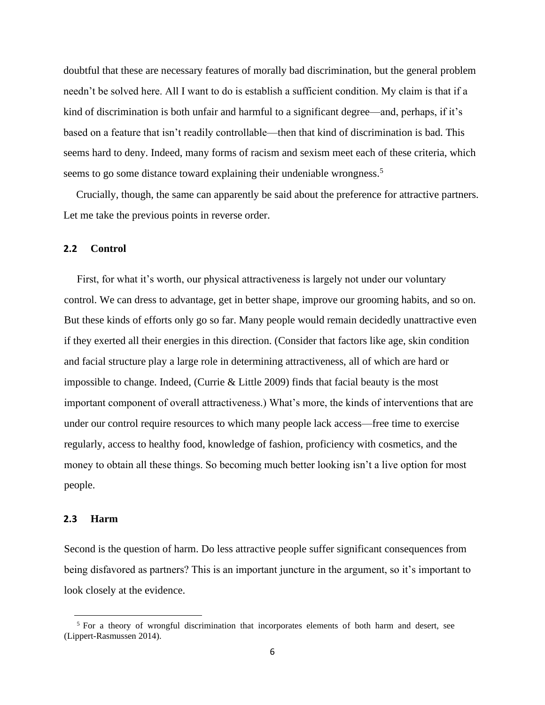doubtful that these are necessary features of morally bad discrimination, but the general problem needn't be solved here. All I want to do is establish a sufficient condition. My claim is that if a kind of discrimination is both unfair and harmful to a significant degree—and, perhaps, if it's based on a feature that isn't readily controllable—then that kind of discrimination is bad. This seems hard to deny. Indeed, many forms of racism and sexism meet each of these criteria, which seems to go some distance toward explaining their undeniable wrongness.<sup>5</sup>

Crucially, though, the same can apparently be said about the preference for attractive partners. Let me take the previous points in reverse order.

#### **2.2 Control**

First, for what it's worth, our physical attractiveness is largely not under our voluntary control. We can dress to advantage, get in better shape, improve our grooming habits, and so on. But these kinds of efforts only go so far. Many people would remain decidedly unattractive even if they exerted all their energies in this direction. (Consider that factors like age, skin condition and facial structure play a large role in determining attractiveness, all of which are hard or impossible to change. Indeed, (Currie & Little 2009) finds that facial beauty is the most important component of overall attractiveness.) What's more, the kinds of interventions that are under our control require resources to which many people lack access—free time to exercise regularly, access to healthy food, knowledge of fashion, proficiency with cosmetics, and the money to obtain all these things. So becoming much better looking isn't a live option for most people.

#### **2.3 Harm**

Second is the question of harm. Do less attractive people suffer significant consequences from being disfavored as partners? This is an important juncture in the argument, so it's important to look closely at the evidence.

<sup>&</sup>lt;sup>5</sup> For a theory of wrongful discrimination that incorporates elements of both harm and desert, see (Lippert-Rasmussen 2014).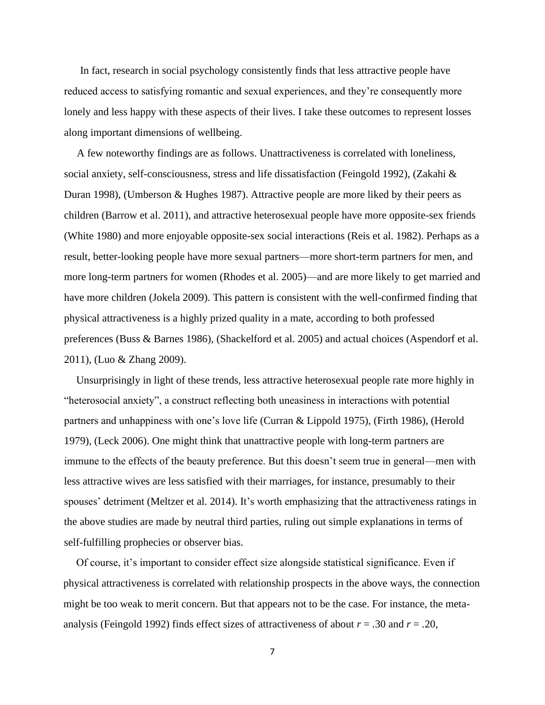In fact, research in social psychology consistently finds that less attractive people have reduced access to satisfying romantic and sexual experiences, and they're consequently more lonely and less happy with these aspects of their lives. I take these outcomes to represent losses along important dimensions of wellbeing.

A few noteworthy findings are as follows. Unattractiveness is correlated with loneliness, social anxiety, self-consciousness, stress and life dissatisfaction (Feingold 1992), (Zakahi & Duran 1998), (Umberson & Hughes 1987). Attractive people are more liked by their peers as children (Barrow et al. 2011), and attractive heterosexual people have more opposite-sex friends (White 1980) and more enjoyable opposite-sex social interactions (Reis et al. 1982). Perhaps as a result, better-looking people have more sexual partners—more short-term partners for men, and more long-term partners for women (Rhodes et al. 2005)—and are more likely to get married and have more children (Jokela 2009). This pattern is consistent with the well-confirmed finding that physical attractiveness is a highly prized quality in a mate, according to both professed preferences (Buss & Barnes 1986), (Shackelford et al. 2005) and actual choices (Aspendorf et al. 2011), (Luo & Zhang 2009).

Unsurprisingly in light of these trends, less attractive heterosexual people rate more highly in "heterosocial anxiety", a construct reflecting both uneasiness in interactions with potential partners and unhappiness with one's love life (Curran & Lippold 1975), (Firth 1986), (Herold 1979), (Leck 2006). One might think that unattractive people with long-term partners are immune to the effects of the beauty preference. But this doesn't seem true in general—men with less attractive wives are less satisfied with their marriages, for instance, presumably to their spouses' detriment (Meltzer et al. 2014). It's worth emphasizing that the attractiveness ratings in the above studies are made by neutral third parties, ruling out simple explanations in terms of self-fulfilling prophecies or observer bias.

Of course, it's important to consider effect size alongside statistical significance. Even if physical attractiveness is correlated with relationship prospects in the above ways, the connection might be too weak to merit concern. But that appears not to be the case. For instance, the metaanalysis (Feingold 1992) finds effect sizes of attractiveness of about  $r = .30$  and  $r = .20$ ,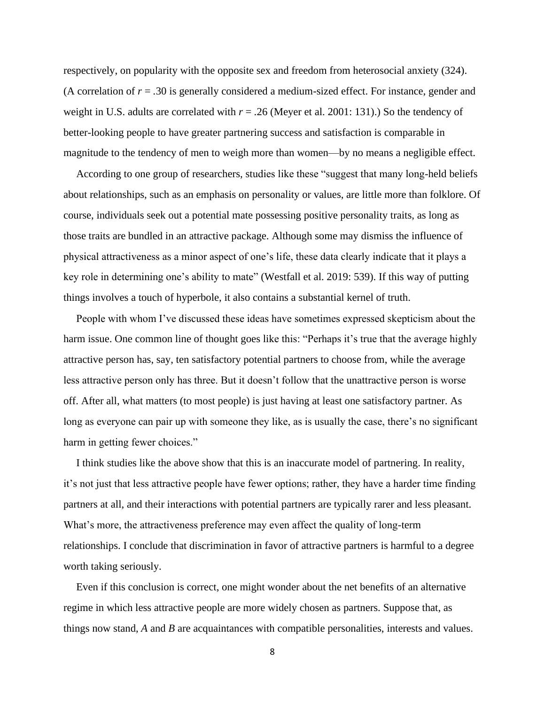respectively, on popularity with the opposite sex and freedom from heterosocial anxiety (324). (A correlation of  $r = .30$  is generally considered a medium-sized effect. For instance, gender and weight in U.S. adults are correlated with *r* = *.*26 (Meyer et al. 2001: 131).) So the tendency of better-looking people to have greater partnering success and satisfaction is comparable in magnitude to the tendency of men to weigh more than women—by no means a negligible effect.

According to one group of researchers, studies like these "suggest that many long-held beliefs about relationships, such as an emphasis on personality or values, are little more than folklore. Of course, individuals seek out a potential mate possessing positive personality traits, as long as those traits are bundled in an attractive package. Although some may dismiss the influence of physical attractiveness as a minor aspect of one's life, these data clearly indicate that it plays a key role in determining one's ability to mate" (Westfall et al. 2019: 539). If this way of putting things involves a touch of hyperbole, it also contains a substantial kernel of truth.

People with whom I've discussed these ideas have sometimes expressed skepticism about the harm issue. One common line of thought goes like this: "Perhaps it's true that the average highly attractive person has, say, ten satisfactory potential partners to choose from, while the average less attractive person only has three. But it doesn't follow that the unattractive person is worse off. After all, what matters (to most people) is just having at least one satisfactory partner. As long as everyone can pair up with someone they like, as is usually the case, there's no significant harm in getting fewer choices."

I think studies like the above show that this is an inaccurate model of partnering. In reality, it's not just that less attractive people have fewer options; rather, they have a harder time finding partners at all, and their interactions with potential partners are typically rarer and less pleasant. What's more, the attractiveness preference may even affect the quality of long-term relationships. I conclude that discrimination in favor of attractive partners is harmful to a degree worth taking seriously.

Even if this conclusion is correct, one might wonder about the net benefits of an alternative regime in which less attractive people are more widely chosen as partners. Suppose that, as things now stand, *A* and *B* are acquaintances with compatible personalities, interests and values.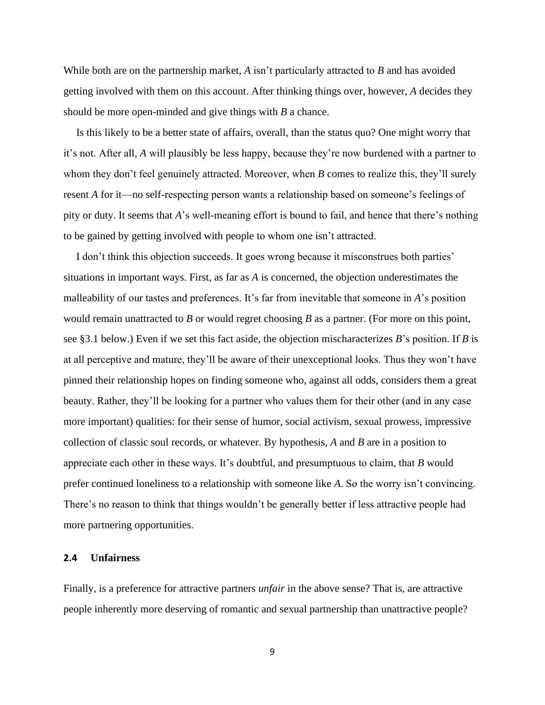While both are on the partnership market, *A* isn't particularly attracted to *B* and has avoided getting involved with them on this account. After thinking things over, however, *A* decides they should be more open-minded and give things with *B* a chance.

Is this likely to be a better state of affairs, overall, than the status quo? One might worry that it's not. After all, *A* will plausibly be less happy, because they're now burdened with a partner to whom they don't feel genuinely attracted. Moreover, when *B* comes to realize this, they'll surely resent *A* for it—no self-respecting person wants a relationship based on someone's feelings of pity or duty. It seems that *A*'s well-meaning effort is bound to fail, and hence that there's nothing to be gained by getting involved with people to whom one isn't attracted.

I don't think this objection succeeds. It goes wrong because it misconstrues both parties' situations in important ways. First, as far as *A* is concerned, the objection underestimates the malleability of our tastes and preferences. It's far from inevitable that someone in *A*'s position would remain unattracted to *B* or would regret choosing *B* as a partner. (For more on this point, see §3.1 below.) Even if we set this fact aside, the objection mischaracterizes *B*'s position. If *B* is at all perceptive and mature, they'll be aware of their unexceptional looks. Thus they won't have pinned their relationship hopes on finding someone who, against all odds, considers them a great beauty. Rather, they'll be looking for a partner who values them for their other (and in any case more important) qualities: for their sense of humor, social activism, sexual prowess, impressive collection of classic soul records, or whatever. By hypothesis, *A* and *B* are in a position to appreciate each other in these ways. It's doubtful, and presumptuous to claim, that *B* would prefer continued loneliness to a relationship with someone like *A*. So the worry isn't convincing. There's no reason to think that things wouldn't be generally better if less attractive people had more partnering opportunities.

### **2.4 Unfairness**

Finally, is a preference for attractive partners *unfair* in the above sense? That is, are attractive people inherently more deserving of romantic and sexual partnership than unattractive people?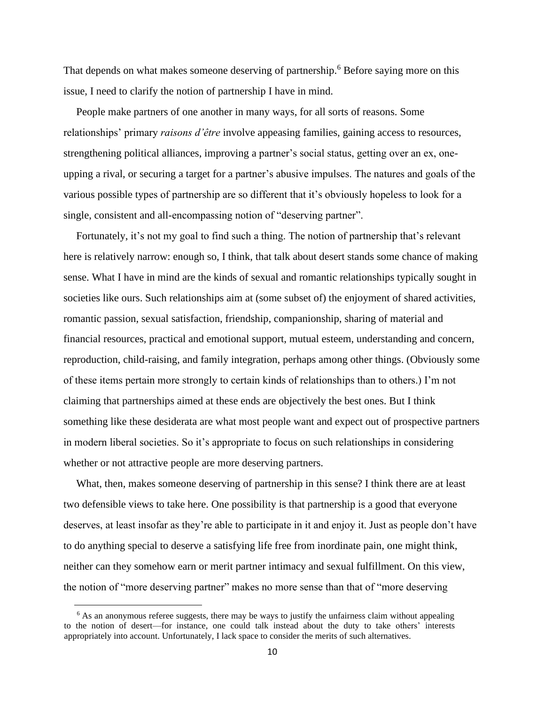That depends on what makes someone deserving of partnership.<sup>6</sup> Before saying more on this issue, I need to clarify the notion of partnership I have in mind.

People make partners of one another in many ways, for all sorts of reasons. Some relationships' primary *raisons d'être* involve appeasing families, gaining access to resources, strengthening political alliances, improving a partner's social status, getting over an ex, oneupping a rival, or securing a target for a partner's abusive impulses. The natures and goals of the various possible types of partnership are so different that it's obviously hopeless to look for a single, consistent and all-encompassing notion of "deserving partner".

Fortunately, it's not my goal to find such a thing. The notion of partnership that's relevant here is relatively narrow: enough so, I think, that talk about desert stands some chance of making sense. What I have in mind are the kinds of sexual and romantic relationships typically sought in societies like ours. Such relationships aim at (some subset of) the enjoyment of shared activities, romantic passion, sexual satisfaction, friendship, companionship, sharing of material and financial resources, practical and emotional support, mutual esteem, understanding and concern, reproduction, child-raising, and family integration, perhaps among other things. (Obviously some of these items pertain more strongly to certain kinds of relationships than to others.) I'm not claiming that partnerships aimed at these ends are objectively the best ones. But I think something like these desiderata are what most people want and expect out of prospective partners in modern liberal societies. So it's appropriate to focus on such relationships in considering whether or not attractive people are more deserving partners.

What, then, makes someone deserving of partnership in this sense? I think there are at least two defensible views to take here. One possibility is that partnership is a good that everyone deserves, at least insofar as they're able to participate in it and enjoy it. Just as people don't have to do anything special to deserve a satisfying life free from inordinate pain, one might think, neither can they somehow earn or merit partner intimacy and sexual fulfillment. On this view, the notion of "more deserving partner" makes no more sense than that of "more deserving

<sup>&</sup>lt;sup>6</sup> As an anonymous referee suggests, there may be ways to justify the unfairness claim without appealing to the notion of desert—for instance, one could talk instead about the duty to take others' interests appropriately into account. Unfortunately, I lack space to consider the merits of such alternatives.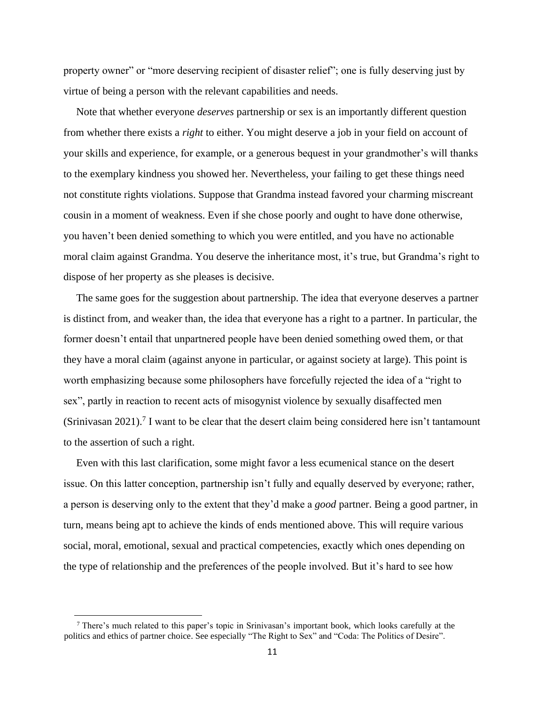property owner" or "more deserving recipient of disaster relief"; one is fully deserving just by virtue of being a person with the relevant capabilities and needs.

Note that whether everyone *deserves* partnership or sex is an importantly different question from whether there exists a *right* to either. You might deserve a job in your field on account of your skills and experience, for example, or a generous bequest in your grandmother's will thanks to the exemplary kindness you showed her. Nevertheless, your failing to get these things need not constitute rights violations. Suppose that Grandma instead favored your charming miscreant cousin in a moment of weakness. Even if she chose poorly and ought to have done otherwise, you haven't been denied something to which you were entitled, and you have no actionable moral claim against Grandma. You deserve the inheritance most, it's true, but Grandma's right to dispose of her property as she pleases is decisive.

The same goes for the suggestion about partnership. The idea that everyone deserves a partner is distinct from, and weaker than, the idea that everyone has a right to a partner. In particular, the former doesn't entail that unpartnered people have been denied something owed them, or that they have a moral claim (against anyone in particular, or against society at large). This point is worth emphasizing because some philosophers have forcefully rejected the idea of a "right to sex", partly in reaction to recent acts of misogynist violence by sexually disaffected men (Srinivasan 2021).<sup>7</sup> I want to be clear that the desert claim being considered here isn't tantamount to the assertion of such a right.

Even with this last clarification, some might favor a less ecumenical stance on the desert issue. On this latter conception, partnership isn't fully and equally deserved by everyone; rather, a person is deserving only to the extent that they'd make a *good* partner. Being a good partner, in turn, means being apt to achieve the kinds of ends mentioned above. This will require various social, moral, emotional, sexual and practical competencies, exactly which ones depending on the type of relationship and the preferences of the people involved. But it's hard to see how

 $7$  There's much related to this paper's topic in Srinivasan's important book, which looks carefully at the politics and ethics of partner choice. See especially "The Right to Sex" and "Coda: The Politics of Desire".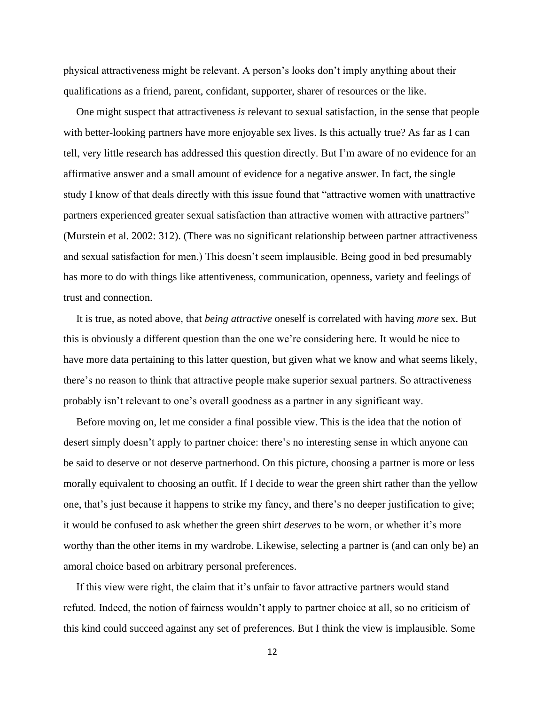physical attractiveness might be relevant. A person's looks don't imply anything about their qualifications as a friend, parent, confidant, supporter, sharer of resources or the like.

One might suspect that attractiveness *is* relevant to sexual satisfaction, in the sense that people with better-looking partners have more enjoyable sex lives. Is this actually true? As far as I can tell, very little research has addressed this question directly. But I'm aware of no evidence for an affirmative answer and a small amount of evidence for a negative answer. In fact, the single study I know of that deals directly with this issue found that "attractive women with unattractive partners experienced greater sexual satisfaction than attractive women with attractive partners" (Murstein et al. 2002: 312). (There was no significant relationship between partner attractiveness and sexual satisfaction for men.) This doesn't seem implausible. Being good in bed presumably has more to do with things like attentiveness, communication, openness, variety and feelings of trust and connection.

It is true, as noted above, that *being attractive* oneself is correlated with having *more* sex. But this is obviously a different question than the one we're considering here. It would be nice to have more data pertaining to this latter question, but given what we know and what seems likely, there's no reason to think that attractive people make superior sexual partners. So attractiveness probably isn't relevant to one's overall goodness as a partner in any significant way.

Before moving on, let me consider a final possible view. This is the idea that the notion of desert simply doesn't apply to partner choice: there's no interesting sense in which anyone can be said to deserve or not deserve partnerhood. On this picture, choosing a partner is more or less morally equivalent to choosing an outfit. If I decide to wear the green shirt rather than the yellow one, that's just because it happens to strike my fancy, and there's no deeper justification to give; it would be confused to ask whether the green shirt *deserves* to be worn, or whether it's more worthy than the other items in my wardrobe. Likewise, selecting a partner is (and can only be) an amoral choice based on arbitrary personal preferences.

If this view were right, the claim that it's unfair to favor attractive partners would stand refuted. Indeed, the notion of fairness wouldn't apply to partner choice at all, so no criticism of this kind could succeed against any set of preferences. But I think the view is implausible. Some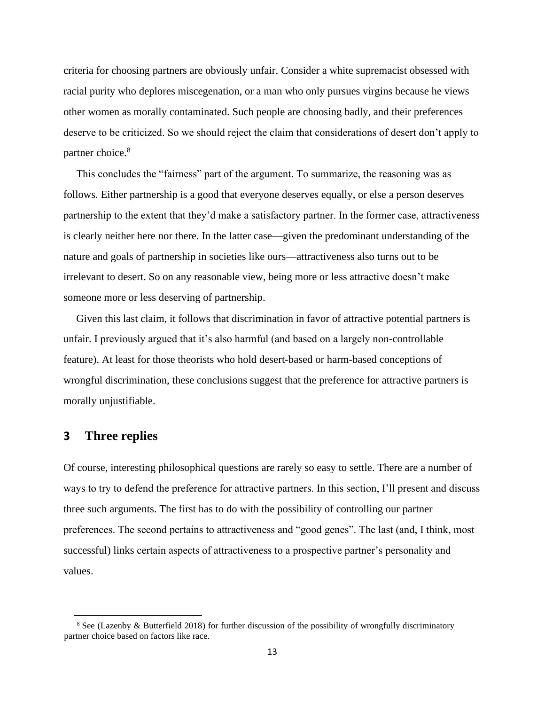criteria for choosing partners are obviously unfair. Consider a white supremacist obsessed with racial purity who deplores miscegenation, or a man who only pursues virgins because he views other women as morally contaminated. Such people are choosing badly, and their preferences deserve to be criticized. So we should reject the claim that considerations of desert don't apply to partner choice.<sup>8</sup>

This concludes the "fairness" part of the argument. To summarize, the reasoning was as follows. Either partnership is a good that everyone deserves equally, or else a person deserves partnership to the extent that they'd make a satisfactory partner. In the former case, attractiveness is clearly neither here nor there. In the latter case—given the predominant understanding of the nature and goals of partnership in societies like ours—attractiveness also turns out to be irrelevant to desert. So on any reasonable view, being more or less attractive doesn't make someone more or less deserving of partnership.

Given this last claim, it follows that discrimination in favor of attractive potential partners is unfair. I previously argued that it's also harmful (and based on a largely non-controllable feature). At least for those theorists who hold desert-based or harm-based conceptions of wrongful discrimination, these conclusions suggest that the preference for attractive partners is morally unjustifiable.

# **3 Three replies**

Of course, interesting philosophical questions are rarely so easy to settle. There are a number of ways to try to defend the preference for attractive partners. In this section, I'll present and discuss three such arguments. The first has to do with the possibility of controlling our partner preferences. The second pertains to attractiveness and "good genes". The last (and, I think, most successful) links certain aspects of attractiveness to a prospective partner's personality and values.

<sup>&</sup>lt;sup>8</sup> See (Lazenby & Butterfield 2018) for further discussion of the possibility of wrongfully discriminatory partner choice based on factors like race.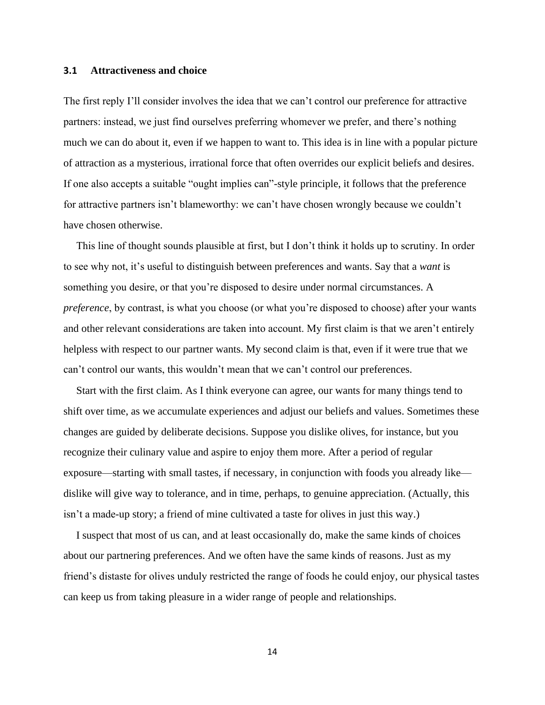#### **3.1 Attractiveness and choice**

The first reply I'll consider involves the idea that we can't control our preference for attractive partners: instead, we just find ourselves preferring whomever we prefer, and there's nothing much we can do about it, even if we happen to want to. This idea is in line with a popular picture of attraction as a mysterious, irrational force that often overrides our explicit beliefs and desires. If one also accepts a suitable "ought implies can"-style principle, it follows that the preference for attractive partners isn't blameworthy: we can't have chosen wrongly because we couldn't have chosen otherwise.

This line of thought sounds plausible at first, but I don't think it holds up to scrutiny. In order to see why not, it's useful to distinguish between preferences and wants. Say that a *want* is something you desire, or that you're disposed to desire under normal circumstances. A *preference*, by contrast, is what you choose (or what you're disposed to choose) after your wants and other relevant considerations are taken into account. My first claim is that we aren't entirely helpless with respect to our partner wants. My second claim is that, even if it were true that we can't control our wants, this wouldn't mean that we can't control our preferences.

Start with the first claim. As I think everyone can agree, our wants for many things tend to shift over time, as we accumulate experiences and adjust our beliefs and values. Sometimes these changes are guided by deliberate decisions. Suppose you dislike olives, for instance, but you recognize their culinary value and aspire to enjoy them more. After a period of regular exposure—starting with small tastes, if necessary, in conjunction with foods you already like dislike will give way to tolerance, and in time, perhaps, to genuine appreciation. (Actually, this isn't a made-up story; a friend of mine cultivated a taste for olives in just this way.)

I suspect that most of us can, and at least occasionally do, make the same kinds of choices about our partnering preferences. And we often have the same kinds of reasons. Just as my friend's distaste for olives unduly restricted the range of foods he could enjoy, our physical tastes can keep us from taking pleasure in a wider range of people and relationships.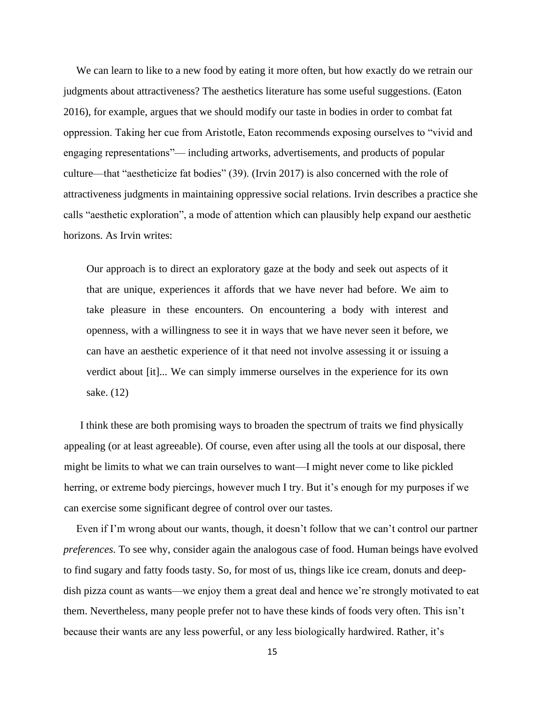We can learn to like to a new food by eating it more often, but how exactly do we retrain our judgments about attractiveness? The aesthetics literature has some useful suggestions. (Eaton 2016), for example, argues that we should modify our taste in bodies in order to combat fat oppression. Taking her cue from Aristotle, Eaton recommends exposing ourselves to "vivid and engaging representations"— including artworks, advertisements, and products of popular culture—that "aestheticize fat bodies" (39). (Irvin 2017) is also concerned with the role of attractiveness judgments in maintaining oppressive social relations. Irvin describes a practice she calls "aesthetic exploration", a mode of attention which can plausibly help expand our aesthetic horizons. As Irvin writes:

Our approach is to direct an exploratory gaze at the body and seek out aspects of it that are unique, experiences it affords that we have never had before. We aim to take pleasure in these encounters. On encountering a body with interest and openness, with a willingness to see it in ways that we have never seen it before, we can have an aesthetic experience of it that need not involve assessing it or issuing a verdict about [it]... We can simply immerse ourselves in the experience for its own sake. (12)

I think these are both promising ways to broaden the spectrum of traits we find physically appealing (or at least agreeable). Of course, even after using all the tools at our disposal, there might be limits to what we can train ourselves to want—I might never come to like pickled herring, or extreme body piercings, however much I try. But it's enough for my purposes if we can exercise some significant degree of control over our tastes.

Even if I'm wrong about our wants, though, it doesn't follow that we can't control our partner *preferences*. To see why, consider again the analogous case of food. Human beings have evolved to find sugary and fatty foods tasty. So, for most of us, things like ice cream, donuts and deepdish pizza count as wants—we enjoy them a great deal and hence we're strongly motivated to eat them. Nevertheless, many people prefer not to have these kinds of foods very often. This isn't because their wants are any less powerful, or any less biologically hardwired. Rather, it's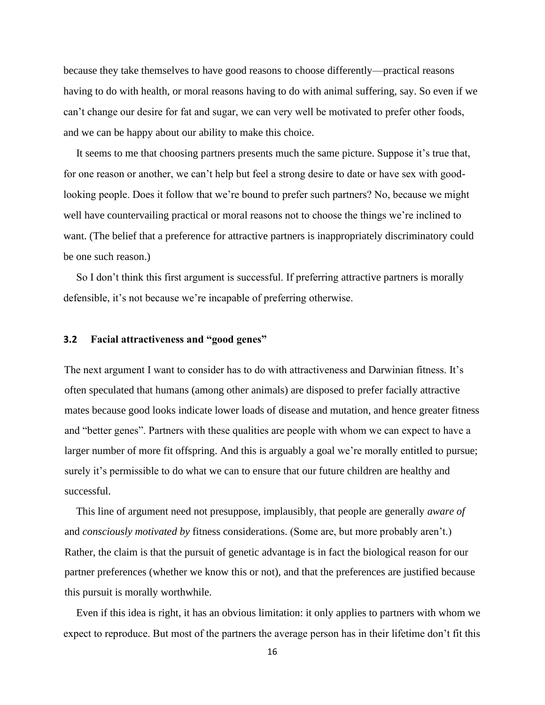because they take themselves to have good reasons to choose differently—practical reasons having to do with health, or moral reasons having to do with animal suffering, say. So even if we can't change our desire for fat and sugar, we can very well be motivated to prefer other foods, and we can be happy about our ability to make this choice.

It seems to me that choosing partners presents much the same picture. Suppose it's true that, for one reason or another, we can't help but feel a strong desire to date or have sex with goodlooking people. Does it follow that we're bound to prefer such partners? No, because we might well have countervailing practical or moral reasons not to choose the things we're inclined to want. (The belief that a preference for attractive partners is inappropriately discriminatory could be one such reason.)

So I don't think this first argument is successful. If preferring attractive partners is morally defensible, it's not because we're incapable of preferring otherwise.

### **3.2 Facial attractiveness and "good genes"**

The next argument I want to consider has to do with attractiveness and Darwinian fitness. It's often speculated that humans (among other animals) are disposed to prefer facially attractive mates because good looks indicate lower loads of disease and mutation, and hence greater fitness and "better genes". Partners with these qualities are people with whom we can expect to have a larger number of more fit offspring. And this is arguably a goal we're morally entitled to pursue; surely it's permissible to do what we can to ensure that our future children are healthy and successful.

This line of argument need not presuppose, implausibly, that people are generally *aware of* and *consciously motivated by* fitness considerations. (Some are, but more probably aren't.) Rather, the claim is that the pursuit of genetic advantage is in fact the biological reason for our partner preferences (whether we know this or not), and that the preferences are justified because this pursuit is morally worthwhile.

Even if this idea is right, it has an obvious limitation: it only applies to partners with whom we expect to reproduce. But most of the partners the average person has in their lifetime don't fit this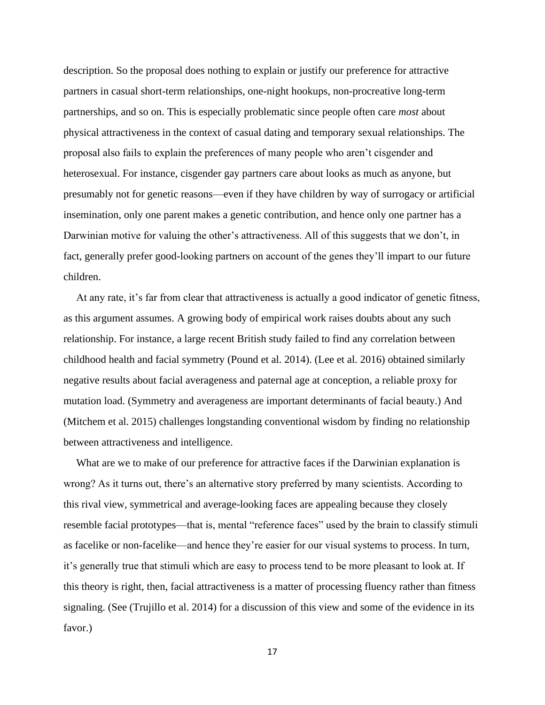description. So the proposal does nothing to explain or justify our preference for attractive partners in casual short-term relationships, one-night hookups, non-procreative long-term partnerships, and so on. This is especially problematic since people often care *most* about physical attractiveness in the context of casual dating and temporary sexual relationships. The proposal also fails to explain the preferences of many people who aren't cisgender and heterosexual. For instance, cisgender gay partners care about looks as much as anyone, but presumably not for genetic reasons—even if they have children by way of surrogacy or artificial insemination, only one parent makes a genetic contribution, and hence only one partner has a Darwinian motive for valuing the other's attractiveness. All of this suggests that we don't, in fact, generally prefer good-looking partners on account of the genes they'll impart to our future children.

At any rate, it's far from clear that attractiveness is actually a good indicator of genetic fitness, as this argument assumes. A growing body of empirical work raises doubts about any such relationship. For instance, a large recent British study failed to find any correlation between childhood health and facial symmetry (Pound et al. 2014). (Lee et al. 2016) obtained similarly negative results about facial averageness and paternal age at conception, a reliable proxy for mutation load. (Symmetry and averageness are important determinants of facial beauty.) And (Mitchem et al. 2015) challenges longstanding conventional wisdom by finding no relationship between attractiveness and intelligence.

What are we to make of our preference for attractive faces if the Darwinian explanation is wrong? As it turns out, there's an alternative story preferred by many scientists. According to this rival view, symmetrical and average-looking faces are appealing because they closely resemble facial prototypes—that is, mental "reference faces" used by the brain to classify stimuli as facelike or non-facelike—and hence they're easier for our visual systems to process. In turn, it's generally true that stimuli which are easy to process tend to be more pleasant to look at. If this theory is right, then, facial attractiveness is a matter of processing fluency rather than fitness signaling. (See (Trujillo et al. 2014) for a discussion of this view and some of the evidence in its favor.)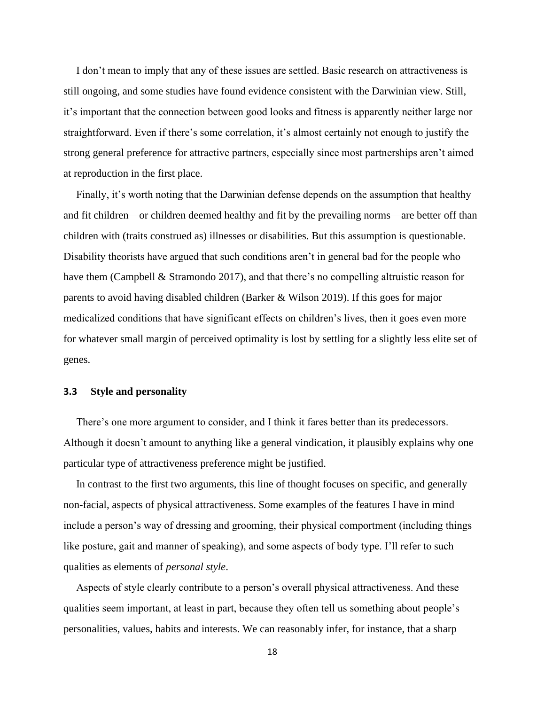I don't mean to imply that any of these issues are settled. Basic research on attractiveness is still ongoing, and some studies have found evidence consistent with the Darwinian view. Still, it's important that the connection between good looks and fitness is apparently neither large nor straightforward. Even if there's some correlation, it's almost certainly not enough to justify the strong general preference for attractive partners, especially since most partnerships aren't aimed at reproduction in the first place.

Finally, it's worth noting that the Darwinian defense depends on the assumption that healthy and fit children—or children deemed healthy and fit by the prevailing norms—are better off than children with (traits construed as) illnesses or disabilities. But this assumption is questionable. Disability theorists have argued that such conditions aren't in general bad for the people who have them (Campbell & Stramondo 2017), and that there's no compelling altruistic reason for parents to avoid having disabled children (Barker & Wilson 2019). If this goes for major medicalized conditions that have significant effects on children's lives, then it goes even more for whatever small margin of perceived optimality is lost by settling for a slightly less elite set of genes.

### **3.3 Style and personality**

There's one more argument to consider, and I think it fares better than its predecessors. Although it doesn't amount to anything like a general vindication, it plausibly explains why one particular type of attractiveness preference might be justified.

In contrast to the first two arguments, this line of thought focuses on specific, and generally non-facial, aspects of physical attractiveness. Some examples of the features I have in mind include a person's way of dressing and grooming, their physical comportment (including things like posture, gait and manner of speaking), and some aspects of body type. I'll refer to such qualities as elements of *personal style*.

Aspects of style clearly contribute to a person's overall physical attractiveness. And these qualities seem important, at least in part, because they often tell us something about people's personalities, values, habits and interests. We can reasonably infer, for instance, that a sharp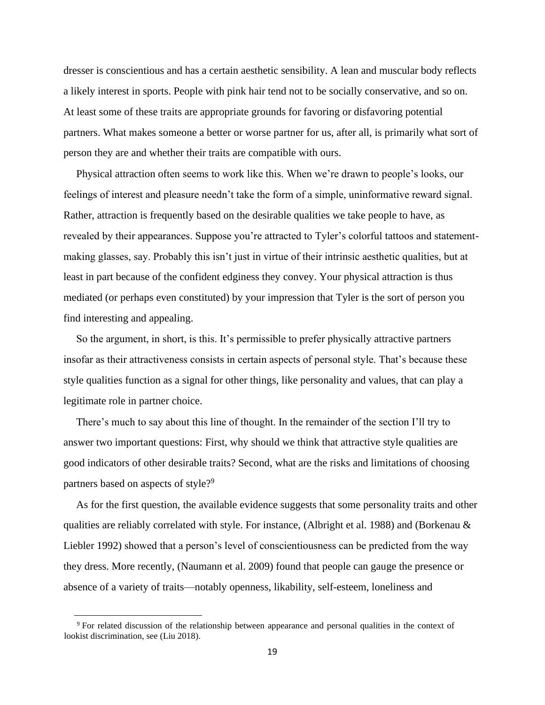dresser is conscientious and has a certain aesthetic sensibility. A lean and muscular body reflects a likely interest in sports. People with pink hair tend not to be socially conservative, and so on. At least some of these traits are appropriate grounds for favoring or disfavoring potential partners. What makes someone a better or worse partner for us, after all, is primarily what sort of person they are and whether their traits are compatible with ours.

Physical attraction often seems to work like this. When we're drawn to people's looks, our feelings of interest and pleasure needn't take the form of a simple, uninformative reward signal. Rather, attraction is frequently based on the desirable qualities we take people to have, as revealed by their appearances. Suppose you're attracted to Tyler's colorful tattoos and statementmaking glasses, say. Probably this isn't just in virtue of their intrinsic aesthetic qualities, but at least in part because of the confident edginess they convey. Your physical attraction is thus mediated (or perhaps even constituted) by your impression that Tyler is the sort of person you find interesting and appealing.

So the argument, in short, is this. It's permissible to prefer physically attractive partners insofar as their attractiveness consists in certain aspects of personal style. That's because these style qualities function as a signal for other things, like personality and values, that can play a legitimate role in partner choice.

There's much to say about this line of thought. In the remainder of the section I'll try to answer two important questions: First, why should we think that attractive style qualities are good indicators of other desirable traits? Second, what are the risks and limitations of choosing partners based on aspects of style?<sup>9</sup>

As for the first question, the available evidence suggests that some personality traits and other qualities are reliably correlated with style. For instance, (Albright et al. 1988) and (Borkenau & Liebler 1992) showed that a person's level of conscientiousness can be predicted from the way they dress. More recently, (Naumann et al. 2009) found that people can gauge the presence or absence of a variety of traits—notably openness, likability, self-esteem, loneliness and

<sup>9</sup> For related discussion of the relationship between appearance and personal qualities in the context of lookist discrimination, see (Liu 2018).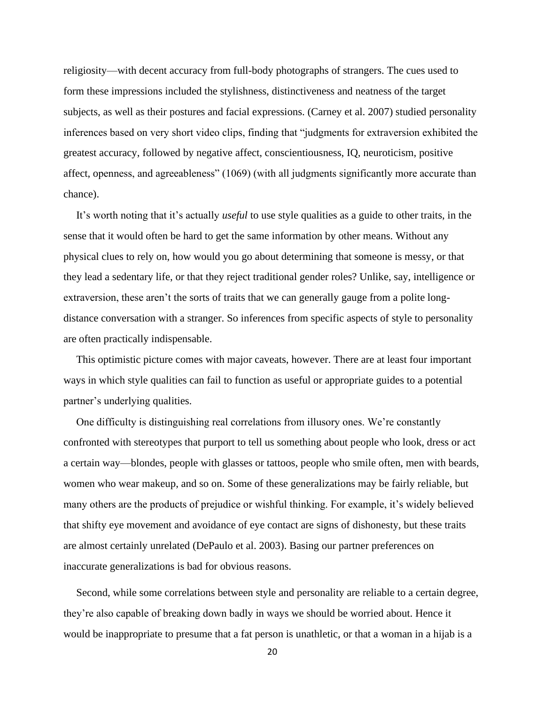religiosity—with decent accuracy from full-body photographs of strangers. The cues used to form these impressions included the stylishness, distinctiveness and neatness of the target subjects, as well as their postures and facial expressions. (Carney et al. 2007) studied personality inferences based on very short video clips, finding that "judgments for extraversion exhibited the greatest accuracy, followed by negative affect, conscientiousness, IQ, neuroticism, positive affect, openness, and agreeableness" (1069) (with all judgments significantly more accurate than chance).

It's worth noting that it's actually *useful* to use style qualities as a guide to other traits, in the sense that it would often be hard to get the same information by other means. Without any physical clues to rely on, how would you go about determining that someone is messy, or that they lead a sedentary life, or that they reject traditional gender roles? Unlike, say, intelligence or extraversion, these aren't the sorts of traits that we can generally gauge from a polite longdistance conversation with a stranger. So inferences from specific aspects of style to personality are often practically indispensable.

This optimistic picture comes with major caveats, however. There are at least four important ways in which style qualities can fail to function as useful or appropriate guides to a potential partner's underlying qualities.

One difficulty is distinguishing real correlations from illusory ones. We're constantly confronted with stereotypes that purport to tell us something about people who look, dress or act a certain way—blondes, people with glasses or tattoos, people who smile often, men with beards, women who wear makeup, and so on. Some of these generalizations may be fairly reliable, but many others are the products of prejudice or wishful thinking. For example, it's widely believed that shifty eye movement and avoidance of eye contact are signs of dishonesty, but these traits are almost certainly unrelated (DePaulo et al. 2003). Basing our partner preferences on inaccurate generalizations is bad for obvious reasons.

Second, while some correlations between style and personality are reliable to a certain degree, they're also capable of breaking down badly in ways we should be worried about. Hence it would be inappropriate to presume that a fat person is unathletic, or that a woman in a hijab is a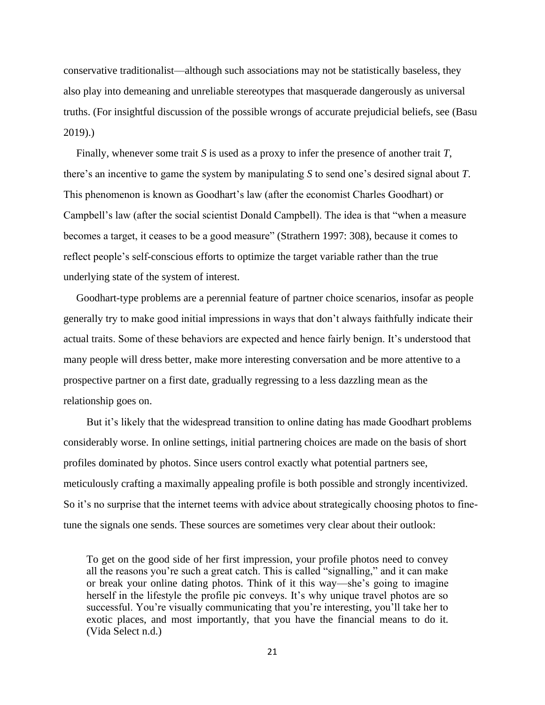conservative traditionalist—although such associations may not be statistically baseless, they also play into demeaning and unreliable stereotypes that masquerade dangerously as universal truths. (For insightful discussion of the possible wrongs of accurate prejudicial beliefs, see (Basu 2019).)

Finally, whenever some trait *S* is used as a proxy to infer the presence of another trait *T*, there's an incentive to game the system by manipulating *S* to send one's desired signal about *T*. This phenomenon is known as Goodhart's law (after the economist Charles Goodhart) or Campbell's law (after the social scientist Donald Campbell). The idea is that "when a measure becomes a target, it ceases to be a good measure" (Strathern 1997: 308), because it comes to reflect people's self-conscious efforts to optimize the target variable rather than the true underlying state of the system of interest.

Goodhart-type problems are a perennial feature of partner choice scenarios, insofar as people generally try to make good initial impressions in ways that don't always faithfully indicate their actual traits. Some of these behaviors are expected and hence fairly benign. It's understood that many people will dress better, make more interesting conversation and be more attentive to a prospective partner on a first date, gradually regressing to a less dazzling mean as the relationship goes on.

But it's likely that the widespread transition to online dating has made Goodhart problems considerably worse. In online settings, initial partnering choices are made on the basis of short profiles dominated by photos. Since users control exactly what potential partners see, meticulously crafting a maximally appealing profile is both possible and strongly incentivized. So it's no surprise that the internet teems with advice about strategically choosing photos to finetune the signals one sends. These sources are sometimes very clear about their outlook:

To get on the good side of her first impression, your profile photos need to convey all the reasons you're such a great catch. This is called "signalling," and it can make or break your online dating photos. Think of it this way—she's going to imagine herself in the lifestyle the profile pic conveys. It's why unique travel photos are so successful. You're visually communicating that you're interesting, you'll take her to exotic places, and most importantly, that you have the financial means to do it. (Vida Select n.d.)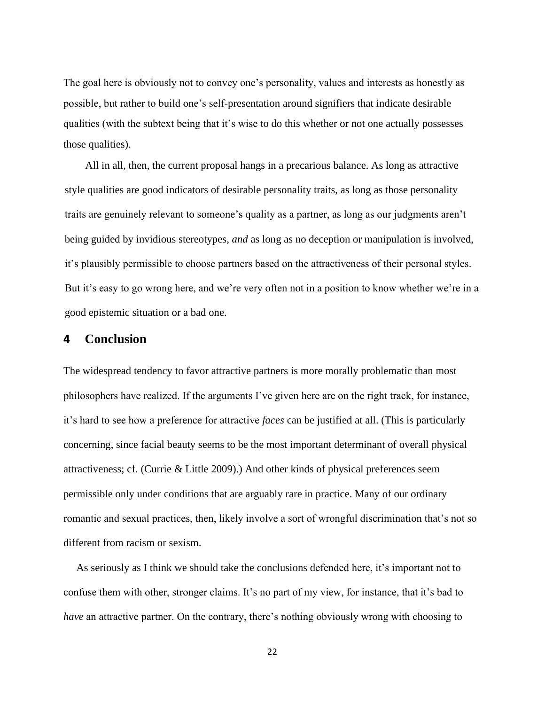The goal here is obviously not to convey one's personality, values and interests as honestly as possible, but rather to build one's self-presentation around signifiers that indicate desirable qualities (with the subtext being that it's wise to do this whether or not one actually possesses those qualities).

All in all, then, the current proposal hangs in a precarious balance. As long as attractive style qualities are good indicators of desirable personality traits, as long as those personality traits are genuinely relevant to someone's quality as a partner, as long as our judgments aren't being guided by invidious stereotypes, *and* as long as no deception or manipulation is involved, it's plausibly permissible to choose partners based on the attractiveness of their personal styles. But it's easy to go wrong here, and we're very often not in a position to know whether we're in a good epistemic situation or a bad one.

# **4 Conclusion**

The widespread tendency to favor attractive partners is more morally problematic than most philosophers have realized. If the arguments I've given here are on the right track, for instance, it's hard to see how a preference for attractive *faces* can be justified at all. (This is particularly concerning, since facial beauty seems to be the most important determinant of overall physical attractiveness; cf. (Currie & Little 2009).) And other kinds of physical preferences seem permissible only under conditions that are arguably rare in practice. Many of our ordinary romantic and sexual practices, then, likely involve a sort of wrongful discrimination that's not so different from racism or sexism.

As seriously as I think we should take the conclusions defended here, it's important not to confuse them with other, stronger claims. It's no part of my view, for instance, that it's bad to *have* an attractive partner. On the contrary, there's nothing obviously wrong with choosing to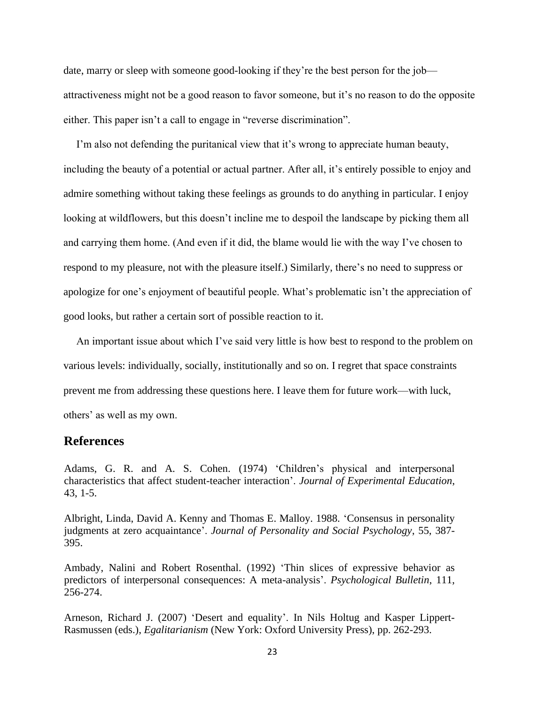date, marry or sleep with someone good-looking if they're the best person for the job attractiveness might not be a good reason to favor someone, but it's no reason to do the opposite either. This paper isn't a call to engage in "reverse discrimination".

I'm also not defending the puritanical view that it's wrong to appreciate human beauty, including the beauty of a potential or actual partner. After all, it's entirely possible to enjoy and admire something without taking these feelings as grounds to do anything in particular. I enjoy looking at wildflowers, but this doesn't incline me to despoil the landscape by picking them all and carrying them home. (And even if it did, the blame would lie with the way I've chosen to respond to my pleasure, not with the pleasure itself.) Similarly, there's no need to suppress or apologize for one's enjoyment of beautiful people. What's problematic isn't the appreciation of good looks, but rather a certain sort of possible reaction to it.

An important issue about which I've said very little is how best to respond to the problem on various levels: individually, socially, institutionally and so on. I regret that space constraints prevent me from addressing these questions here. I leave them for future work—with luck, others' as well as my own.

## **References**

Adams, G. R. and A. S. Cohen. (1974) 'Children's physical and interpersonal characteristics that affect student-teacher interaction'. *Journal of Experimental Education*, 43, 1-5.

Albright, Linda, David A. Kenny and Thomas E. Malloy. 1988. 'Consensus in personality judgments at zero acquaintance'. *Journal of Personality and Social Psychology*, 55, 387- 395.

Ambady, Nalini and Robert Rosenthal. (1992) 'Thin slices of expressive behavior as predictors of interpersonal consequences: A meta-analysis'. *Psychological Bulletin*, 111, 256-274.

Arneson, Richard J. (2007) 'Desert and equality'. In Nils Holtug and Kasper Lippert-Rasmussen (eds.), *Egalitarianism* (New York: Oxford University Press), pp. 262-293.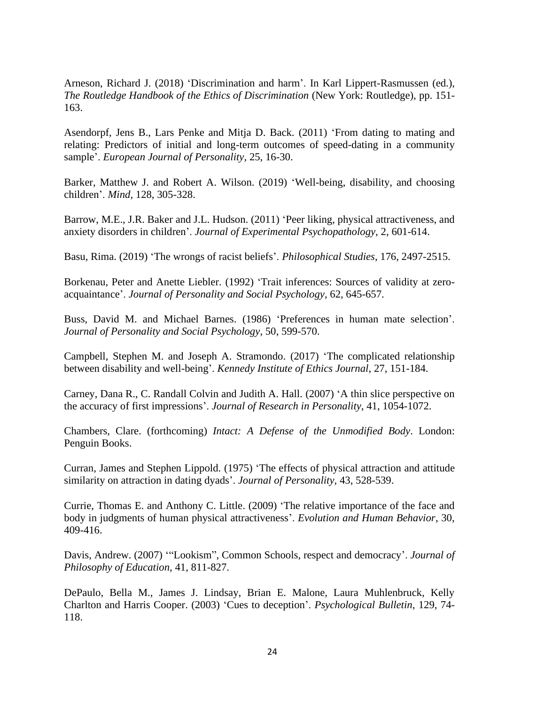Arneson, Richard J. (2018) 'Discrimination and harm'. In Karl Lippert-Rasmussen (ed.), *The Routledge Handbook of the Ethics of Discrimination* (New York: Routledge), pp. 151- 163.

Asendorpf, Jens B., Lars Penke and Mitja D. Back. (2011) 'From dating to mating and relating: Predictors of initial and long-term outcomes of speed-dating in a community sample'. *European Journal of Personality*, 25, 16-30.

Barker, Matthew J. and Robert A. Wilson. (2019) 'Well-being, disability, and choosing children'. *Mind*, 128, 305-328.

Barrow, M.E., J.R. Baker and J.L. Hudson. (2011) 'Peer liking, physical attractiveness, and anxiety disorders in children'. *Journal of Experimental Psychopathology*, 2, 601-614.

Basu, Rima. (2019) 'The wrongs of racist beliefs'. *Philosophical Studies*, 176, 2497-2515.

Borkenau, Peter and Anette Liebler. (1992) 'Trait inferences: Sources of validity at zeroacquaintance'. *Journal of Personality and Social Psychology*, 62, 645-657.

Buss, David M. and Michael Barnes. (1986) 'Preferences in human mate selection'. *Journal of Personality and Social Psychology*, 50, 599-570.

Campbell, Stephen M. and Joseph A. Stramondo. (2017) 'The complicated relationship between disability and well-being'. *Kennedy Institute of Ethics Journal*, 27, 151-184.

Carney, Dana R., C. Randall Colvin and Judith A. Hall. (2007) 'A thin slice perspective on the accuracy of first impressions'. *Journal of Research in Personality*, 41, 1054-1072.

Chambers, Clare. (forthcoming) *Intact: A Defense of the Unmodified Body*. London: Penguin Books.

Curran, James and Stephen Lippold. (1975) 'The effects of physical attraction and attitude similarity on attraction in dating dyads'. *Journal of Personality*, 43, 528-539.

Currie, Thomas E. and Anthony C. Little. (2009) 'The relative importance of the face and body in judgments of human physical attractiveness'. *Evolution and Human Behavior*, 30, 409-416.

Davis, Andrew. (2007) '"Lookism", Common Schools, respect and democracy'. *Journal of Philosophy of Education*, 41, 811-827.

DePaulo, Bella M., James J. Lindsay, Brian E. Malone, Laura Muhlenbruck, Kelly Charlton and Harris Cooper. (2003) 'Cues to deception'. *Psychological Bulletin*, 129, 74- 118.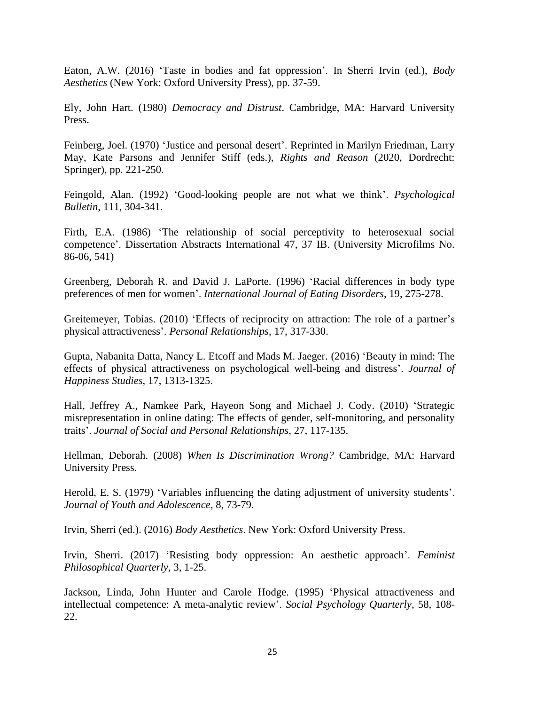Eaton, A.W. (2016) 'Taste in bodies and fat oppression'. In Sherri Irvin (ed.), *Body Aesthetics* (New York: Oxford University Press), pp. 37-59.

Ely, John Hart. (1980) *Democracy and Distrust*. Cambridge, MA: Harvard University Press.

Feinberg, Joel. (1970) 'Justice and personal desert'. Reprinted in Marilyn Friedman, Larry May, Kate Parsons and Jennifer Stiff (eds.), *Rights and Reason* (2020, Dordrecht: Springer), pp. 221-250.

Feingold, Alan. (1992) 'Good-looking people are not what we think'. *Psychological Bulletin*, 111, 304-341.

Firth, E.A. (1986) 'The relationship of social perceptivity to heterosexual social competence'. Dissertation Abstracts International 47, 37 IB. (University Microfilms No. 86-06, 541)

Greenberg, Deborah R. and David J. LaPorte. (1996) 'Racial differences in body type preferences of men for women'. *International Journal of Eating Disorders*, 19, 275-278.

Greitemeyer, Tobias. (2010) 'Effects of reciprocity on attraction: The role of a partner's physical attractiveness'. *Personal Relationships*, 17, 317-330.

Gupta, Nabanita Datta, Nancy L. Etcoff and Mads M. Jaeger. (2016) 'Beauty in mind: The effects of physical attractiveness on psychological well-being and distress'. *Journal of Happiness Studies*, 17, 1313-1325.

Hall, Jeffrey A., Namkee Park, Hayeon Song and Michael J. Cody. (2010) 'Strategic misrepresentation in online dating: The effects of gender, self-monitoring, and personality traits'. *Journal of Social and Personal Relationships*, 27, 117-135.

Hellman, Deborah. (2008) *When Is Discrimination Wrong?* Cambridge, MA: Harvard University Press.

Herold, E. S. (1979) 'Variables influencing the dating adjustment of university students'. *Journal of Youth and Adolescence*, 8, 73-79.

Irvin, Sherri (ed.). (2016) *Body Aesthetics*. New York: Oxford University Press.

Irvin, Sherri. (2017) 'Resisting body oppression: An aesthetic approach'. *Feminist Philosophical Quarterly*, 3, 1-25.

Jackson, Linda, John Hunter and Carole Hodge. (1995) 'Physical attractiveness and intellectual competence: A meta-analytic review'. *Social Psychology Quarterly*, 58, 108- 22.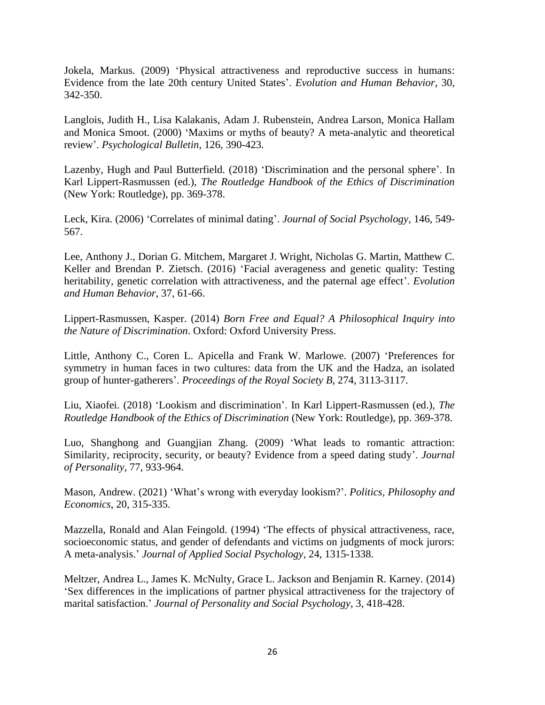Jokela, Markus. (2009) 'Physical attractiveness and reproductive success in humans: Evidence from the late 20th century United States'. *Evolution and Human Behavior*, 30, 342-350.

Langlois, Judith H., Lisa Kalakanis, Adam J. Rubenstein, Andrea Larson, Monica Hallam and Monica Smoot. (2000) 'Maxims or myths of beauty? A meta-analytic and theoretical review'. *Psychological Bulletin*, 126, 390-423.

Lazenby, Hugh and Paul Butterfield. (2018) 'Discrimination and the personal sphere'. In Karl Lippert-Rasmussen (ed.), *The Routledge Handbook of the Ethics of Discrimination* (New York: Routledge), pp. 369-378.

Leck, Kira. (2006) 'Correlates of minimal dating'. *Journal of Social Psychology*, 146, 549- 567.

Lee, Anthony J., Dorian G. Mitchem, Margaret J. Wright, Nicholas G. Martin, Matthew C. Keller and Brendan P. Zietsch. (2016) 'Facial averageness and genetic quality: Testing heritability, genetic correlation with attractiveness, and the paternal age effect'. *Evolution and Human Behavior*, 37, 61-66.

Lippert-Rasmussen, Kasper. (2014) *Born Free and Equal? A Philosophical Inquiry into the Nature of Discrimination*. Oxford: Oxford University Press.

Little, Anthony C., Coren L. Apicella and Frank W. Marlowe. (2007) 'Preferences for symmetry in human faces in two cultures: data from the UK and the Hadza, an isolated group of hunter-gatherers'. *Proceedings of the Royal Society B*, 274, 3113-3117.

Liu, Xiaofei. (2018) 'Lookism and discrimination'. In Karl Lippert-Rasmussen (ed.), *The Routledge Handbook of the Ethics of Discrimination* (New York: Routledge), pp. 369-378.

Luo, Shanghong and Guangjian Zhang. (2009) 'What leads to romantic attraction: Similarity, reciprocity, security, or beauty? Evidence from a speed dating study'. *Journal of Personality*, 77, 933-964.

Mason, Andrew. (2021) 'What's wrong with everyday lookism?'. *Politics, Philosophy and Economics*, 20, 315-335.

Mazzella, Ronald and Alan Feingold. (1994) 'The effects of physical attractiveness, race, socioeconomic status, and gender of defendants and victims on judgments of mock jurors: A meta-analysis.' *Journal of Applied Social Psychology*, 24, 1315-1338.

Meltzer, Andrea L., James K. McNulty, Grace L. Jackson and Benjamin R. Karney. (2014) 'Sex differences in the implications of partner physical attractiveness for the trajectory of marital satisfaction.' *Journal of Personality and Social Psychology*, 3, 418-428.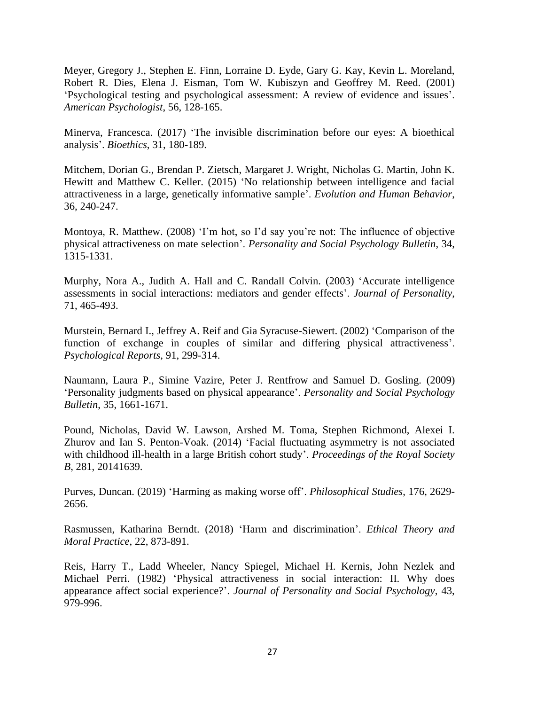Meyer, Gregory J., Stephen E. Finn, Lorraine D. Eyde, Gary G. Kay, Kevin L. Moreland, Robert R. Dies, Elena J. Eisman, Tom W. Kubiszyn and Geoffrey M. Reed. (2001) 'Psychological testing and psychological assessment: A review of evidence and issues'. *American Psychologist*, 56, 128-165.

Minerva, Francesca. (2017) 'The invisible discrimination before our eyes: A bioethical analysis'. *Bioethics*, 31, 180-189.

Mitchem, Dorian G., Brendan P. Zietsch, Margaret J. Wright, Nicholas G. Martin, John K. Hewitt and Matthew C. Keller. (2015) 'No relationship between intelligence and facial attractiveness in a large, genetically informative sample'. *Evolution and Human Behavior*, 36, 240-247.

Montoya, R. Matthew. (2008) 'I'm hot, so I'd say you're not: The influence of objective physical attractiveness on mate selection'. *Personality and Social Psychology Bulletin*, 34, 1315-1331.

Murphy, Nora A., Judith A. Hall and C. Randall Colvin. (2003) 'Accurate intelligence assessments in social interactions: mediators and gender effects'. *Journal of Personality*, 71, 465-493.

Murstein, Bernard I., Jeffrey A. Reif and Gia Syracuse-Siewert. (2002) 'Comparison of the function of exchange in couples of similar and differing physical attractiveness'. *Psychological Reports*, 91, 299-314.

Naumann, Laura P., Simine Vazire, Peter J. Rentfrow and Samuel D. Gosling. (2009) 'Personality judgments based on physical appearance'. *Personality and Social Psychology Bulletin*, 35, 1661-1671.

Pound, Nicholas, David W. Lawson, Arshed M. Toma, Stephen Richmond, Alexei I. Zhurov and Ian S. Penton-Voak. (2014) 'Facial fluctuating asymmetry is not associated with childhood ill-health in a large British cohort study'. *Proceedings of the Royal Society B*, 281, 20141639.

Purves, Duncan. (2019) 'Harming as making worse off'. *Philosophical Studies*, 176, 2629- 2656.

Rasmussen, Katharina Berndt. (2018) 'Harm and discrimination'. *Ethical Theory and Moral Practice*, 22, 873-891.

Reis, Harry T., Ladd Wheeler, Nancy Spiegel, Michael H. Kernis, John Nezlek and Michael Perri. (1982) 'Physical attractiveness in social interaction: II. Why does appearance affect social experience?'. *Journal of Personality and Social Psychology*, 43, 979-996.